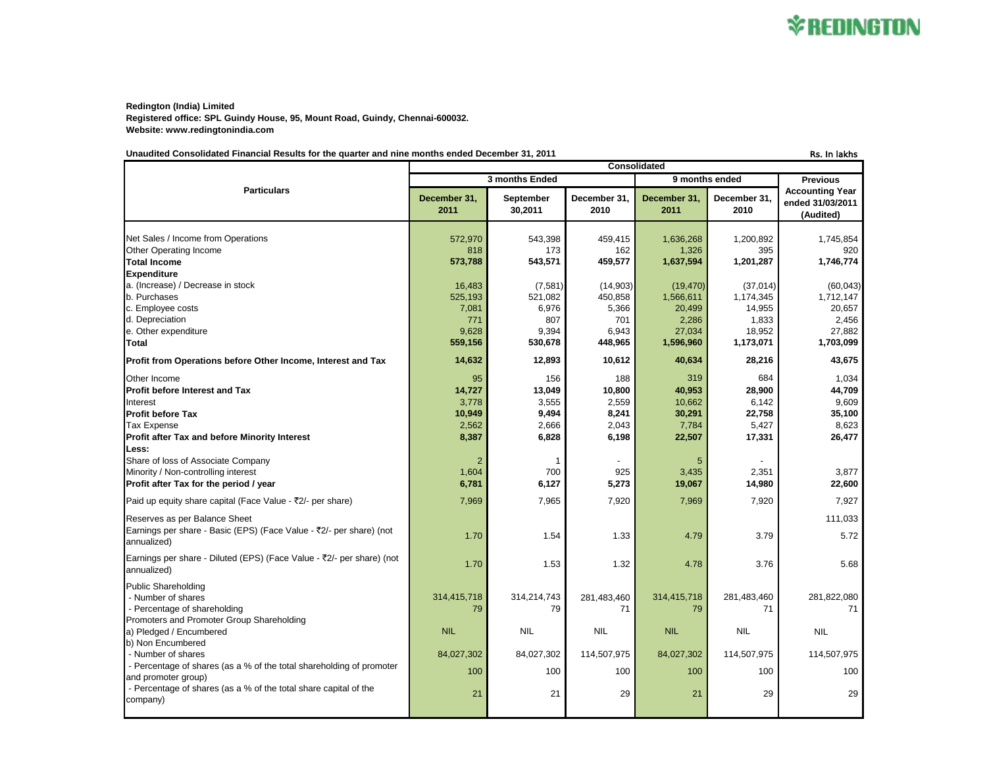**Redington (India) Limited Registered office: SPL Guindy House, 95, Mount Road, Guindy, Chennai-600032. Website: www.redingtonindia.com**

### Unaudited Consolidated Financial Results for the quarter and nine months ended December 31, 2011 **Results RS. In lakhs** Rs. In lakhs

|                                                                                                                                                                             | Consolidated                                      |                                                   |                                                   |                                                      |                                                     |                                                         |
|-----------------------------------------------------------------------------------------------------------------------------------------------------------------------------|---------------------------------------------------|---------------------------------------------------|---------------------------------------------------|------------------------------------------------------|-----------------------------------------------------|---------------------------------------------------------|
| <b>Particulars</b>                                                                                                                                                          | 3 months Ended                                    |                                                   |                                                   | 9 months ended                                       |                                                     | <b>Previous</b>                                         |
|                                                                                                                                                                             | December 31,<br>2011                              | September<br>30,2011                              | December 31,<br>2010                              | December 31,<br>2011                                 | December 31,<br>2010                                | <b>Accounting Year</b><br>ended 31/03/2011<br>(Audited) |
| Net Sales / Income from Operations<br>Other Operating Income<br><b>Total Income</b><br><b>Expenditure</b><br>a. (Increase) / Decrease in stock                              | 572,970<br>818<br>573,788<br>16,483               | 543,398<br>173<br>543,571<br>(7,581)              | 459,415<br>162<br>459,577<br>(14,903)             | 1,636,268<br>1,326<br>1,637,594<br>(19, 470)         | 1,200,892<br>395<br>1,201,287<br>(37, 014)          | 1,745,854<br>920<br>1,746,774<br>(60, 043)              |
| b. Purchases<br>c. Employee costs<br>d. Depreciation<br>e. Other expenditure<br>Total                                                                                       | 525,193<br>7,081<br>771<br>9.628<br>559,156       | 521,082<br>6,976<br>807<br>9.394<br>530,678       | 450,858<br>5,366<br>701<br>6.943<br>448,965       | 1,566,611<br>20,499<br>2,286<br>27,034<br>1,596,960  | 1,174,345<br>14,955<br>1,833<br>18,952<br>1,173,071 | 1,712,147<br>20.657<br>2,456<br>27,882<br>1,703,099     |
| Profit from Operations before Other Income, Interest and Tax                                                                                                                | 14,632                                            | 12,893                                            | 10,612                                            | 40,634                                               | 28,216                                              | 43,675                                                  |
| Other Income<br><b>Profit before Interest and Tax</b><br>Interest<br><b>Profit before Tax</b><br><b>Tax Expense</b><br><b>Profit after Tax and before Minority Interest</b> | 95<br>14,727<br>3,778<br>10,949<br>2,562<br>8,387 | 156<br>13,049<br>3,555<br>9,494<br>2,666<br>6,828 | 188<br>10,800<br>2,559<br>8,241<br>2,043<br>6,198 | 319<br>40,953<br>10,662<br>30,291<br>7,784<br>22,507 | 684<br>28,900<br>6,142<br>22,758<br>5,427<br>17,331 | 1,034<br>44,709<br>9.609<br>35,100<br>8,623<br>26,477   |
| Less:<br>Share of loss of Associate Company<br>Minority / Non-controlling interest<br>Profit after Tax for the period / year                                                | $\overline{2}$<br>1,604<br>6,781                  | -1<br>700<br>6,127                                | 925<br>5,273                                      | 5<br>3,435<br>19,067                                 | 2,351<br>14,980                                     | 3,877<br>22,600                                         |
| Paid up equity share capital (Face Value - ₹2/- per share)                                                                                                                  | 7,969                                             | 7,965                                             | 7,920                                             | 7,969                                                | 7,920                                               | 7,927                                                   |
| Reserves as per Balance Sheet<br>Earnings per share - Basic (EPS) (Face Value - ₹2/- per share) (not<br>annualized)                                                         | 1.70                                              | 1.54                                              | 1.33                                              | 4.79                                                 | 3.79                                                | 111,033<br>5.72                                         |
| Earnings per share - Diluted (EPS) (Face Value - ₹2/- per share) (not<br>annualized)                                                                                        | 1.70                                              | 1.53                                              | 1.32                                              | 4.78                                                 | 3.76                                                | 5.68                                                    |
| <b>Public Shareholding</b><br>- Number of shares<br>- Percentage of shareholding<br>Promoters and Promoter Group Shareholding                                               | 314,415,718<br>79                                 | 314,214,743<br>79                                 | 281,483,460<br>71                                 | 314,415,718<br>79                                    | 281,483,460<br>71                                   | 281,822,080<br>71                                       |
| a) Pledged / Encumbered                                                                                                                                                     | <b>NIL</b>                                        | <b>NIL</b>                                        | <b>NIL</b>                                        | <b>NIL</b>                                           | <b>NIL</b>                                          | <b>NIL</b>                                              |
| b) Non Encumbered<br>- Number of shares<br>- Percentage of shares (as a % of the total shareholding of promoter<br>and promoter group)                                      | 84,027,302<br>100                                 | 84,027,302<br>100                                 | 114,507,975<br>100                                | 84,027,302<br>100                                    | 114,507,975<br>100                                  | 114,507,975<br>100                                      |
| - Percentage of shares (as a % of the total share capital of the<br>company)                                                                                                | 21                                                | 21                                                | 29                                                | 21                                                   | 29                                                  | 29                                                      |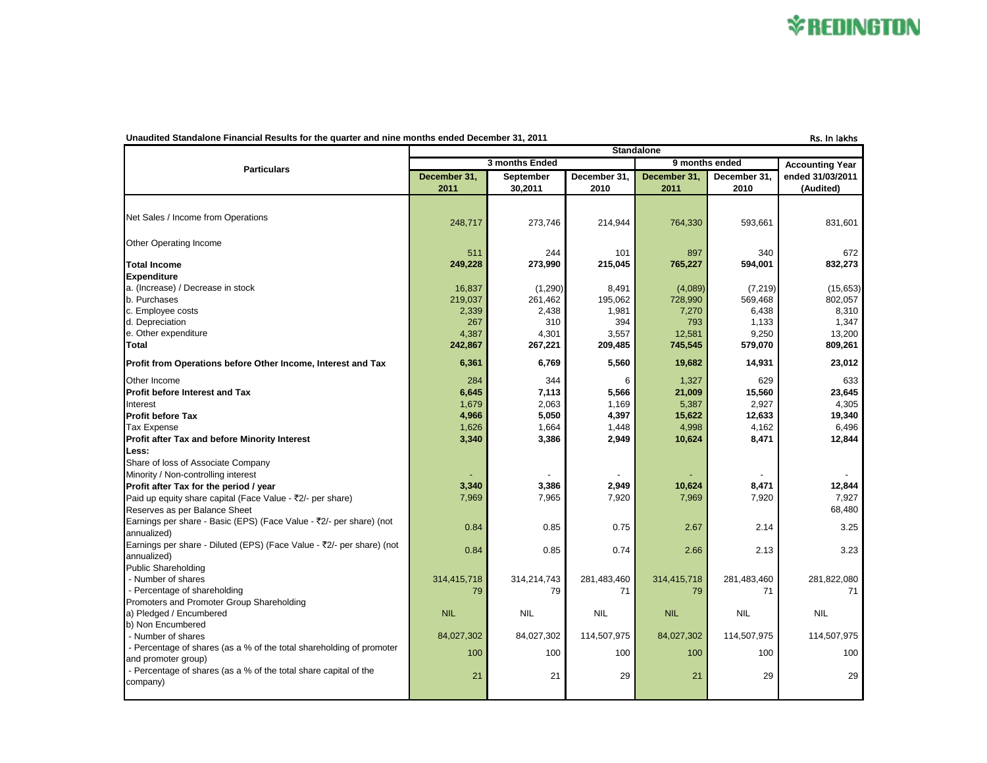# **\*REDINGTON**

### Unaudited Standalone Financial Results for the quarter and nine months ended December 31, 2011 Rs. In lakhs Rs. In lakhs

|                                                                                      | <b>Standalone</b>    |                      |                      |                      |                      |                               |  |
|--------------------------------------------------------------------------------------|----------------------|----------------------|----------------------|----------------------|----------------------|-------------------------------|--|
| <b>Particulars</b>                                                                   | 3 months Ended       |                      |                      | 9 months ended       |                      | <b>Accounting Year</b>        |  |
|                                                                                      | December 31.<br>2011 | September<br>30,2011 | December 31.<br>2010 | December 31.<br>2011 | December 31.<br>2010 | ended 31/03/2011<br>(Audited) |  |
|                                                                                      |                      |                      |                      |                      |                      |                               |  |
| Net Sales / Income from Operations                                                   | 248,717              | 273,746              | 214,944              | 764,330              | 593,661              | 831.601                       |  |
| Other Operating Income                                                               |                      |                      |                      |                      |                      |                               |  |
|                                                                                      | 511                  | 244                  | 101                  | 897                  | 340                  | 672                           |  |
| <b>Total Income</b>                                                                  | 249,228              | 273,990              | 215,045              | 765,227              | 594,001              | 832,273                       |  |
| <b>Expenditure</b>                                                                   |                      |                      |                      |                      |                      |                               |  |
| a. (Increase) / Decrease in stock                                                    | 16,837               | (1,290)              | 8,491                | (4,089)              | (7, 219)             | (15, 653)                     |  |
| b. Purchases                                                                         | 219,037              | 261,462              | 195,062              | 728,990              | 569,468              | 802,057                       |  |
| c. Employee costs                                                                    | 2,339                | 2,438                | 1,981                | 7,270                | 6,438                | 8,310                         |  |
| d. Depreciation                                                                      | 267                  | 310                  | 394                  | 793                  | 1,133                | 1,347                         |  |
| e. Other expenditure<br>Total                                                        | 4,387<br>242,867     | 4,301<br>267,221     | 3,557<br>209,485     | 12,581<br>745,545    | 9,250<br>579,070     | 13,200<br>809,261             |  |
|                                                                                      |                      |                      |                      |                      |                      |                               |  |
| Profit from Operations before Other Income, Interest and Tax                         | 6,361                | 6,769                | 5,560                | 19,682               | 14,931               | 23,012                        |  |
| Other Income                                                                         | 284                  | 344                  | 6                    | 1,327                | 629                  | 633                           |  |
| <b>Profit before Interest and Tax</b>                                                | 6,645                | 7,113                | 5,566                | 21,009               | 15,560               | 23,645                        |  |
| Interest                                                                             | 1,679                | 2,063                | 1,169                | 5,387                | 2,927                | 4,305                         |  |
| <b>Profit before Tax</b>                                                             | 4,966                | 5,050                | 4,397                | 15,622               | 12,633               | 19,340                        |  |
| <b>Tax Expense</b>                                                                   | 1,626                | 1,664                | 1,448                | 4,998                | 4,162                | 6.496                         |  |
| Profit after Tax and before Minority Interest                                        | 3,340                | 3,386                | 2,949                | 10,624               | 8,471                | 12,844                        |  |
| Less:                                                                                |                      |                      |                      |                      |                      |                               |  |
| Share of loss of Associate Company                                                   |                      |                      |                      |                      |                      |                               |  |
| Minority / Non-controlling interest                                                  |                      |                      |                      |                      |                      |                               |  |
| Profit after Tax for the period / year                                               | 3,340                | 3,386                | 2,949                | 10,624               | 8,471                | 12,844                        |  |
| Paid up equity share capital (Face Value - ₹2/- per share)                           | 7,969                | 7,965                | 7,920                | 7,969                | 7,920                | 7,927<br>68,480               |  |
| Reserves as per Balance Sheet                                                        |                      |                      |                      |                      |                      |                               |  |
| Earnings per share - Basic (EPS) (Face Value - ₹2/- per share) (not<br>annualized)   | 0.84                 | 0.85                 | 0.75                 | 2.67                 | 2.14                 | 3.25                          |  |
| Earnings per share - Diluted (EPS) (Face Value - ₹2/- per share) (not<br>annualized) | 0.84                 | 0.85                 | 0.74                 | 2.66                 | 2.13                 | 3.23                          |  |
| <b>Public Shareholding</b>                                                           |                      |                      |                      |                      |                      |                               |  |
| - Number of shares                                                                   | 314,415,718          | 314,214,743          | 281,483,460          | 314,415,718          | 281,483,460          | 281,822,080                   |  |
| - Percentage of shareholding                                                         | 79                   | 79                   | 71                   | 79                   | 71                   | 71                            |  |
| Promoters and Promoter Group Shareholding                                            |                      |                      |                      |                      |                      |                               |  |
| a) Pledged / Encumbered                                                              | <b>NIL</b>           | <b>NIL</b>           | <b>NIL</b>           | <b>NIL</b>           | <b>NIL</b>           | <b>NIL</b>                    |  |
| b) Non Encumbered                                                                    |                      |                      |                      |                      |                      |                               |  |
| - Number of shares                                                                   | 84,027,302           | 84,027,302           | 114,507,975          | 84,027,302           | 114,507,975          | 114,507,975                   |  |
| - Percentage of shares (as a % of the total shareholding of promoter                 |                      |                      |                      |                      |                      |                               |  |
| and promoter group)                                                                  | 100                  | 100                  | 100                  | 100                  | 100                  | 100                           |  |
| - Percentage of shares (as a % of the total share capital of the                     |                      |                      |                      |                      |                      |                               |  |
| company)                                                                             | 21                   | 21                   | 29                   | 21                   | 29                   | 29                            |  |
|                                                                                      |                      |                      |                      |                      |                      |                               |  |